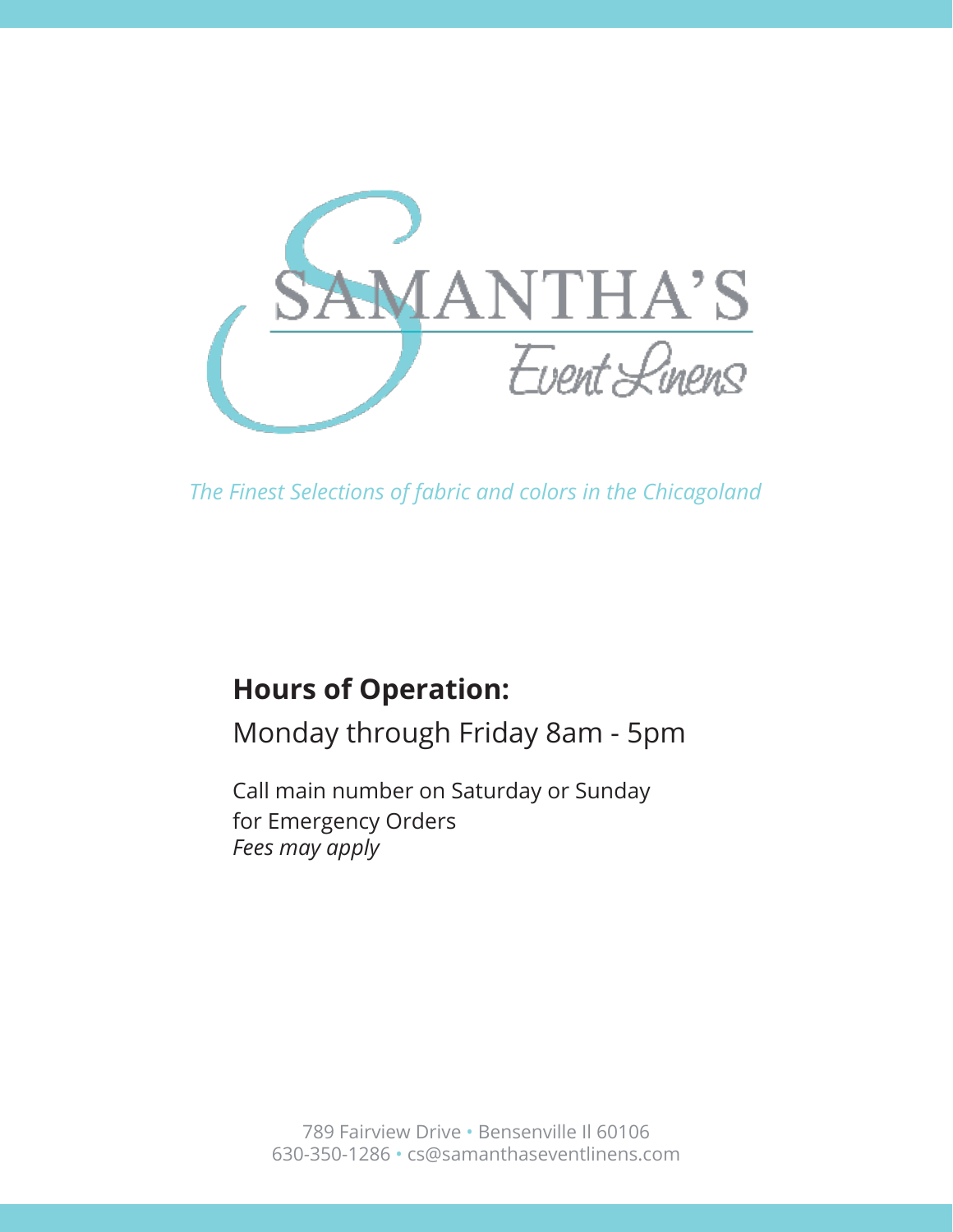

# **Hours of Operation:**

Monday through Friday 8am - 5pm

Call main number on Saturday or Sunday for Emergency Orders *Fees may apply*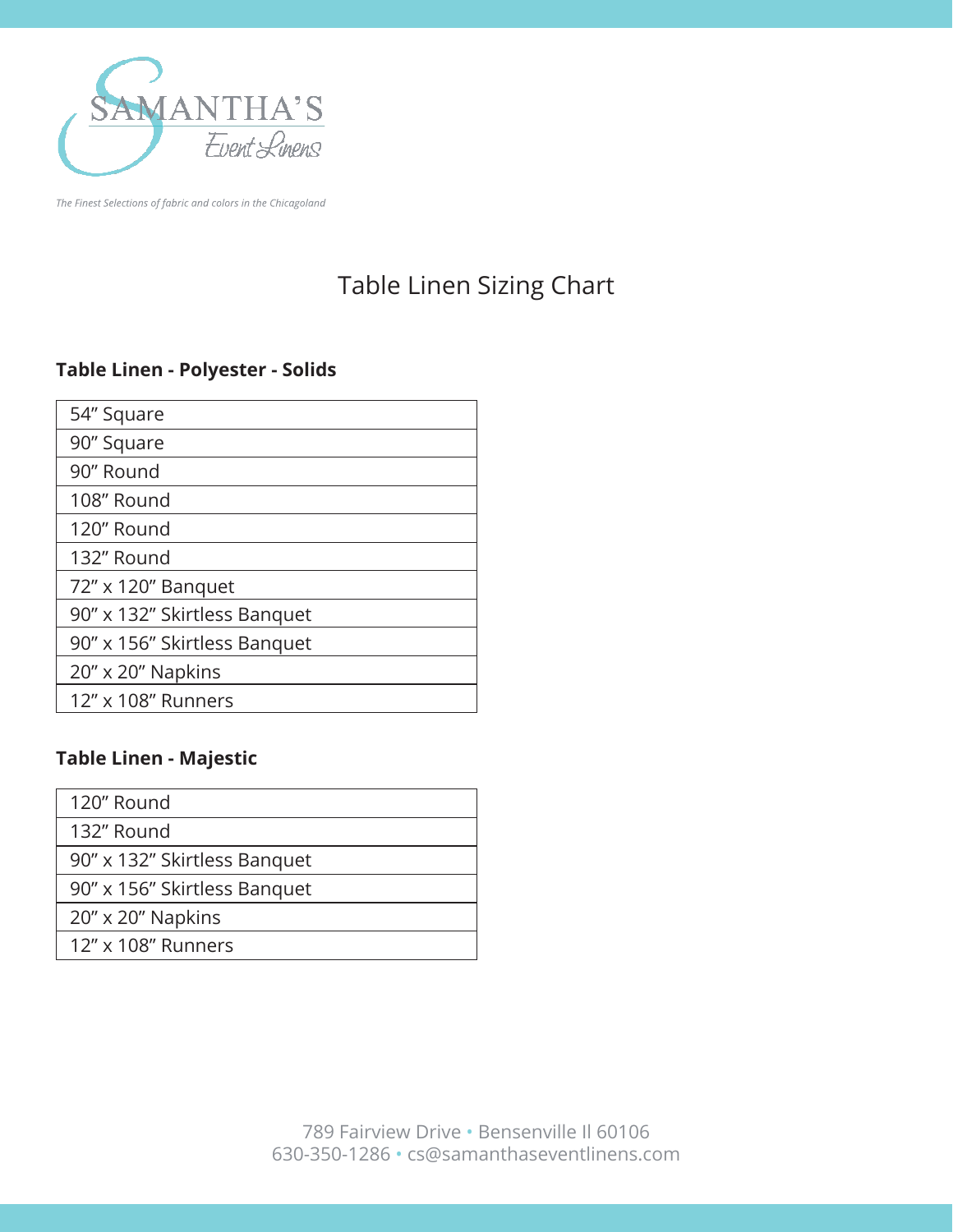

## Table Linen Sizing Chart

#### **Table Linen - Polyester - Solids**

| 54" Square                   |  |
|------------------------------|--|
| 90" Square                   |  |
| 90" Round                    |  |
| 108" Round                   |  |
| 120" Round                   |  |
| 132" Round                   |  |
| 72" x 120" Banquet           |  |
| 90" x 132" Skirtless Banquet |  |
| 90" x 156" Skirtless Banquet |  |
| $20'' \times 20''$ Napkins   |  |
| 12" x 108" Runners           |  |
|                              |  |

#### **Table Linen - Majestic**

| 120" Round                   |
|------------------------------|
| 132" Round                   |
| 90" x 132" Skirtless Banquet |
| 90" x 156" Skirtless Banquet |
| 20" x 20" Napkins            |
| 12" x 108" Runners           |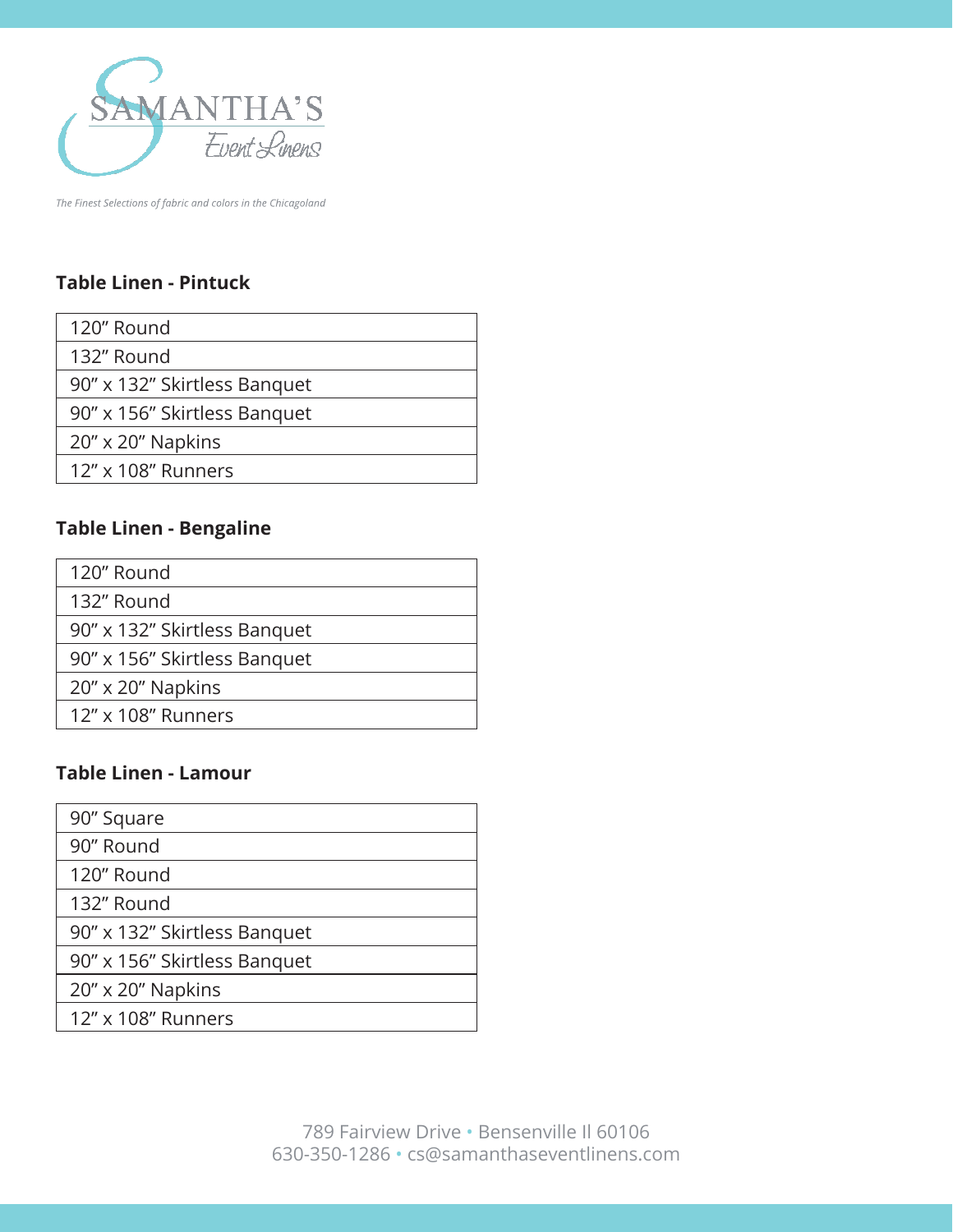

## **Table Linen - Pintuck**

| 120" Round                   |
|------------------------------|
| 132" Round                   |
| 90" x 132" Skirtless Banquet |
| 90" x 156" Skirtless Banquet |
| 20" x 20" Napkins            |
| 12" x 108" Runners           |

#### **Table Linen - Bengaline**

| 120" Round                   |
|------------------------------|
| 132" Round                   |
| 90" x 132" Skirtless Banquet |
| 90" x 156" Skirtless Banquet |
| $20'' \times 20''$ Napkins   |
| 12" x 108" Runners           |
|                              |

#### **Table Linen - Lamour**

| 90" Square                   |
|------------------------------|
| 90" Round                    |
| 120" Round                   |
| 132" Round                   |
| 90" x 132" Skirtless Banquet |
| 90" x 156" Skirtless Banquet |
| 20" x 20" Napkins            |
| 12" x 108" Runners           |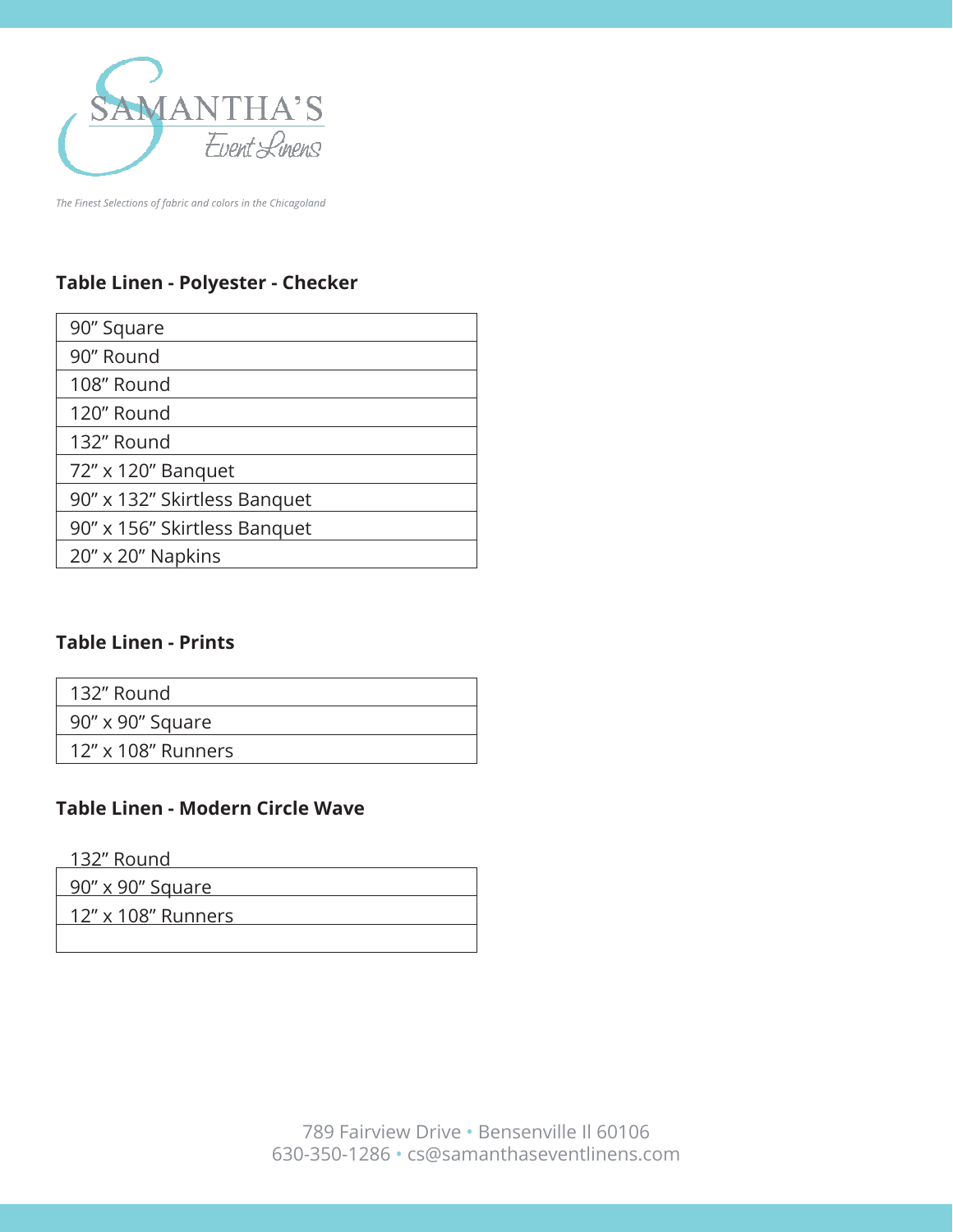

### **Table Linen - Polyester - Checker**

| 90" Square                   |
|------------------------------|
| 90" Round                    |
| 108" Round                   |
| 120" Round                   |
| 132" Round                   |
| 72" x 120" Banquet           |
| 90" x 132" Skirtless Banquet |
| 90" x 156" Skirtless Banquet |
| 20" x 20" Napkins            |

#### **Table Linen - Prints**

| 132" Round |                    |  |
|------------|--------------------|--|
|            | 90" x 90" Square   |  |
|            | 12" x 108" Runners |  |
|            |                    |  |

## **Table Linen - Modern Circle Wave**

132" Round

| <u>90" x 90" Square</u> |  |
|-------------------------|--|
| 12" x 108" Runners      |  |
|                         |  |